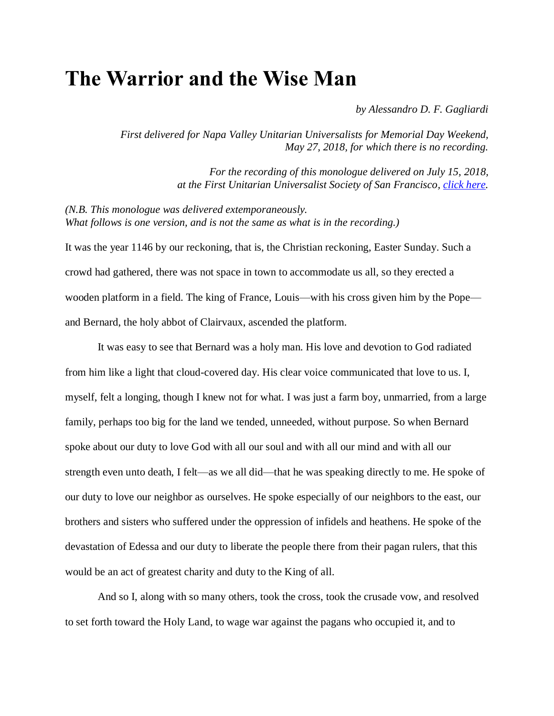## **The Warrior and the Wise Man**

*by Alessandro D. F. Gagliardi*

*First delivered for Napa Valley Unitarian Universalists for Memorial Day Weekend, May 27, 2018, for which there is no recording.*

> *For the recording of this monologue delivered on July 15, 2018, at the First Unitarian Universalist Society of San Francisco, [click here.](http://content.uusf.org/podcast/20180715AGSermon.mp3)*

*(N.B. This monologue was delivered extemporaneously. What follows is one version, and is not the same as what is in the recording.)*

It was the year 1146 by our reckoning, that is, the Christian reckoning, Easter Sunday. Such a crowd had gathered, there was not space in town to accommodate us all, so they erected a wooden platform in a field. The king of France, Louis—with his cross given him by the Pope and Bernard, the holy abbot of Clairvaux, ascended the platform.

It was easy to see that Bernard was a holy man. His love and devotion to God radiated from him like a light that cloud-covered day. His clear voice communicated that love to us. I, myself, felt a longing, though I knew not for what. I was just a farm boy, unmarried, from a large family, perhaps too big for the land we tended, unneeded, without purpose. So when Bernard spoke about our duty to love God with all our soul and with all our mind and with all our strength even unto death, I felt—as we all did—that he was speaking directly to me. He spoke of our duty to love our neighbor as ourselves. He spoke especially of our neighbors to the east, our brothers and sisters who suffered under the oppression of infidels and heathens. He spoke of the devastation of Edessa and our duty to liberate the people there from their pagan rulers, that this would be an act of greatest charity and duty to the King of all.

And so I, along with so many others, took the cross, took the crusade vow, and resolved to set forth toward the Holy Land, to wage war against the pagans who occupied it, and to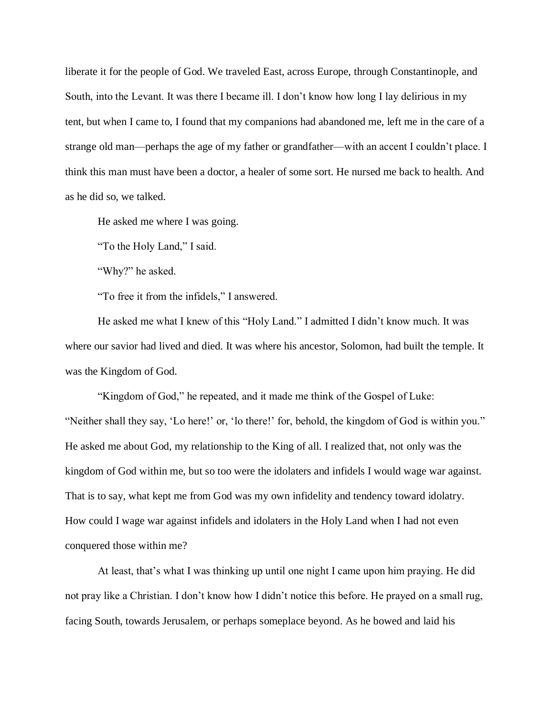liberate it for the people of God. We traveled East, across Europe, through Constantinople, and South, into the Levant. It was there I became ill. I don't know how long I lay delirious in my tent, but when I came to, I found that my companions had abandoned me, left me in the care of a strange old man—perhaps the age of my father or grandfather—with an accent I couldn't place. I think this man must have been a doctor, a healer of some sort. He nursed me back to health. And as he did so, we talked.

He asked me where I was going.

"To the Holy Land," I said.

"Why?" he asked.

"To free it from the infidels," I answered.

He asked me what I knew of this "Holy Land." I admitted I didn't know much. It was where our savior had lived and died. It was where his ancestor, Solomon, had built the temple. It was the Kingdom of God.

"Kingdom of God," he repeated, and it made me think of the Gospel of Luke: "Neither shall they say, 'Lo here!' or, 'lo there!' for, behold, the kingdom of God is within you." He asked me about God, my relationship to the King of all. I realized that, not only was the kingdom of God within me, but so too were the idolaters and infidels I would wage war against. That is to say, what kept me from God was my own infidelity and tendency toward idolatry. How could I wage war against infidels and idolaters in the Holy Land when I had not even conquered those within me?

At least, that's what I was thinking up until one night I came upon him praying. He did not pray like a Christian. I don't know how I didn't notice this before. He prayed on a small rug, facing South, towards Jerusalem, or perhaps someplace beyond. As he bowed and laid his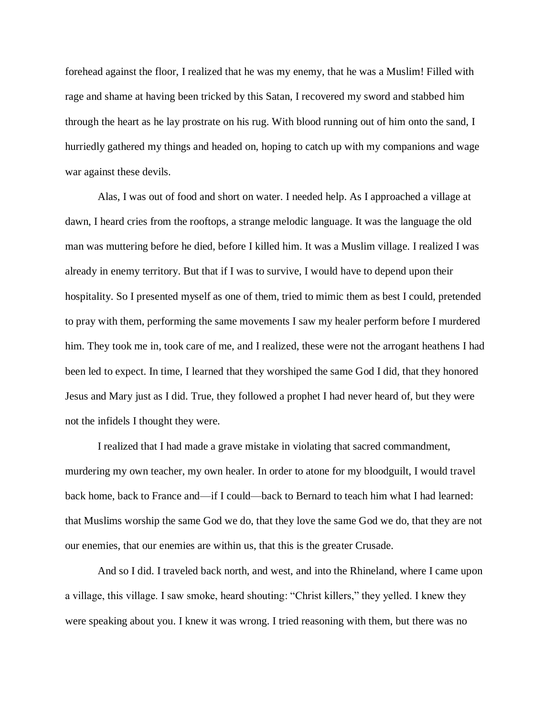forehead against the floor, I realized that he was my enemy, that he was a Muslim! Filled with rage and shame at having been tricked by this Satan, I recovered my sword and stabbed him through the heart as he lay prostrate on his rug. With blood running out of him onto the sand, I hurriedly gathered my things and headed on, hoping to catch up with my companions and wage war against these devils.

Alas, I was out of food and short on water. I needed help. As I approached a village at dawn, I heard cries from the rooftops, a strange melodic language. It was the language the old man was muttering before he died, before I killed him. It was a Muslim village. I realized I was already in enemy territory. But that if I was to survive, I would have to depend upon their hospitality. So I presented myself as one of them, tried to mimic them as best I could, pretended to pray with them, performing the same movements I saw my healer perform before I murdered him. They took me in, took care of me, and I realized, these were not the arrogant heathens I had been led to expect. In time, I learned that they worshiped the same God I did, that they honored Jesus and Mary just as I did. True, they followed a prophet I had never heard of, but they were not the infidels I thought they were.

I realized that I had made a grave mistake in violating that sacred commandment, murdering my own teacher, my own healer. In order to atone for my bloodguilt, I would travel back home, back to France and—if I could—back to Bernard to teach him what I had learned: that Muslims worship the same God we do, that they love the same God we do, that they are not our enemies, that our enemies are within us, that this is the greater Crusade.

And so I did. I traveled back north, and west, and into the Rhineland, where I came upon a village, this village. I saw smoke, heard shouting: "Christ killers," they yelled. I knew they were speaking about you. I knew it was wrong. I tried reasoning with them, but there was no